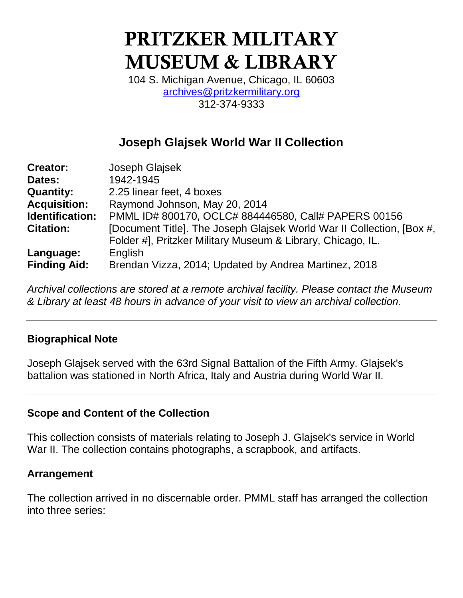# **PRITZKER MILITARY MUSEUM & LIBRARY**

104 S. Michigan Avenue, Chicago, IL 60603 [archives@pritzkermilitary.org](mailto:archives@pritzkermilitary.org) 312-374-9333

## **Joseph Glajsek World War II Collection**

| <b>Creator:</b>     | Joseph Glajsek                                                        |
|---------------------|-----------------------------------------------------------------------|
| Dates:              | 1942-1945                                                             |
| <b>Quantity:</b>    | 2.25 linear feet, 4 boxes                                             |
| <b>Acquisition:</b> | Raymond Johnson, May 20, 2014                                         |
| Identification:     | PMML ID# 800170, OCLC# 884446580, Call# PAPERS 00156                  |
| <b>Citation:</b>    | [Document Title]. The Joseph Glajsek World War II Collection, [Box #, |
|                     | Folder #], Pritzker Military Museum & Library, Chicago, IL.           |
| Language:           | English                                                               |
| <b>Finding Aid:</b> | Brendan Vizza, 2014; Updated by Andrea Martinez, 2018                 |

*Archival collections are stored at a remote archival facility. Please contact the Museum & Library at least 48 hours in advance of your visit to view an archival collection.*

#### **Biographical Note**

Joseph Glajsek served with the 63rd Signal Battalion of the Fifth Army. Glajsek's battalion was stationed in North Africa, Italy and Austria during World War II.

#### **Scope and Content of the Collection**

This collection consists of materials relating to Joseph J. Glajsek's service in World War II. The collection contains photographs, a scrapbook, and artifacts.

#### **Arrangement**

The collection arrived in no discernable order. PMML staff has arranged the collection into three series: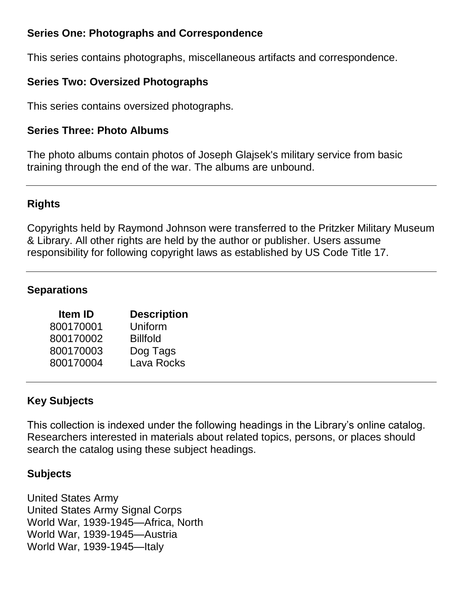#### **Series One: Photographs and Correspondence**

This series contains photographs, miscellaneous artifacts and correspondence.

### **Series Two: Oversized Photographs**

This series contains oversized photographs.

#### **Series Three: Photo Albums**

The photo albums contain photos of Joseph Glajsek's military service from basic training through the end of the war. The albums are unbound.

#### **Rights**

Copyrights held by Raymond Johnson were transferred to the Pritzker Military Museum & Library. All other rights are held by the author or publisher. Users assume responsibility for following copyright laws as established by US Code Title 17.

#### **Separations**

| <b>Item ID</b> | <b>Description</b> |
|----------------|--------------------|
| 800170001      | Uniform            |
| 800170002      | <b>Billfold</b>    |
| 800170003      | Dog Tags           |
| 800170004      | Lava Rocks         |
|                |                    |

#### **Key Subjects**

This collection is indexed under the following headings in the Library's online catalog. Researchers interested in materials about related topics, persons, or places should search the catalog using these subject headings.

#### **Subjects**

United States Army United States Army Signal Corps World War, 1939-1945—Africa, North World War, 1939-1945—Austria World War, 1939-1945—Italy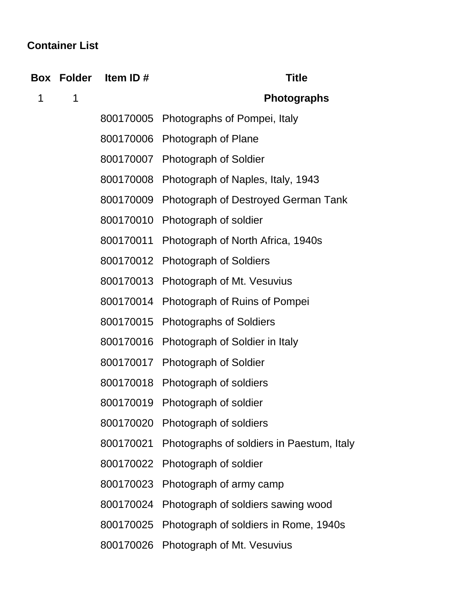# **Container List**

|   | Box Folder | Item ID#  | <b>Title</b>                                        |
|---|------------|-----------|-----------------------------------------------------|
| 1 | 1          |           | <b>Photographs</b>                                  |
|   |            | 800170005 | Photographs of Pompei, Italy                        |
|   |            |           | 800170006 Photograph of Plane                       |
|   |            |           | 800170007 Photograph of Soldier                     |
|   |            | 800170008 | Photograph of Naples, Italy, 1943                   |
|   |            | 800170009 | Photograph of Destroyed German Tank                 |
|   |            | 800170010 | Photograph of soldier                               |
|   |            | 800170011 | Photograph of North Africa, 1940s                   |
|   |            | 800170012 | <b>Photograph of Soldiers</b>                       |
|   |            | 800170013 | Photograph of Mt. Vesuvius                          |
|   |            | 800170014 | Photograph of Ruins of Pompei                       |
|   |            | 800170015 | <b>Photographs of Soldiers</b>                      |
|   |            | 800170016 | Photograph of Soldier in Italy                      |
|   |            | 800170017 | <b>Photograph of Soldier</b>                        |
|   |            | 800170018 | Photograph of soldiers                              |
|   |            | 800170019 | Photograph of soldier                               |
|   |            |           | 800170020 Photograph of soldiers                    |
|   |            |           | 800170021 Photographs of soldiers in Paestum, Italy |
|   |            |           | 800170022 Photograph of soldier                     |
|   |            | 800170023 | Photograph of army camp                             |
|   |            |           | 800170024 Photograph of soldiers sawing wood        |
|   |            |           | 800170025 Photograph of soldiers in Rome, 1940s     |
|   |            |           | 800170026 Photograph of Mt. Vesuvius                |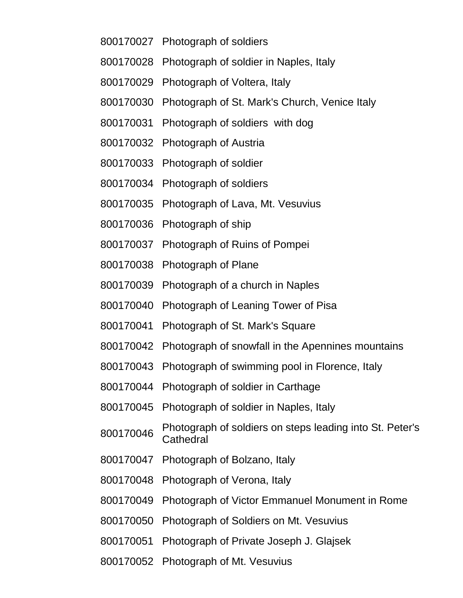- Photograph of soldiers
- Photograph of soldier in Naples, Italy
- Photograph of Voltera, Italy
- Photograph of St. Mark's Church, Venice Italy
- Photograph of soldiers with dog
- Photograph of Austria
- Photograph of soldier
- Photograph of soldiers
- Photograph of Lava, Mt. Vesuvius
- Photograph of ship
- Photograph of Ruins of Pompei
- Photograph of Plane
- Photograph of a church in Naples
- Photograph of Leaning Tower of Pisa
- Photograph of St. Mark's Square
- Photograph of snowfall in the Apennines mountains
- Photograph of swimming pool in Florence, Italy
- Photograph of soldier in Carthage
- Photograph of soldier in Naples, Italy
- Photograph of soldiers on steps leading into St. Peter's **Cathedral**
- Photograph of Bolzano, Italy
- Photograph of Verona, Italy
- Photograph of Victor Emmanuel Monument in Rome
- Photograph of Soldiers on Mt. Vesuvius
- Photograph of Private Joseph J. Glajsek
- Photograph of Mt. Vesuvius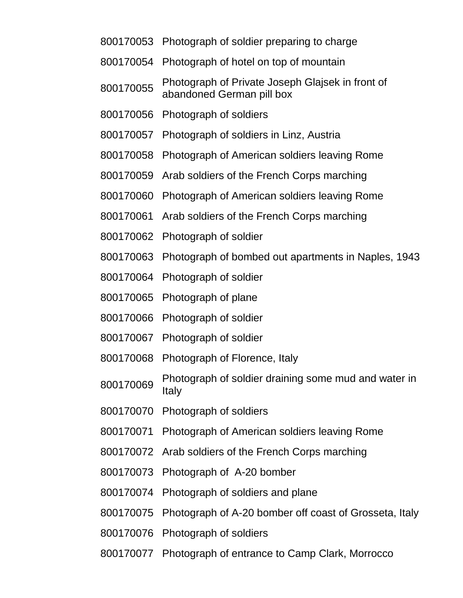- Photograph of soldier preparing to charge
- Photograph of hotel on top of mountain
- Photograph of Private Joseph Glajsek in front of abandoned German pill box
- Photograph of soldiers
- Photograph of soldiers in Linz, Austria
- Photograph of American soldiers leaving Rome
- Arab soldiers of the French Corps marching
- Photograph of American soldiers leaving Rome
- Arab soldiers of the French Corps marching
- Photograph of soldier
- Photograph of bombed out apartments in Naples, 1943
- Photograph of soldier
- Photograph of plane
- Photograph of soldier
- Photograph of soldier
- Photograph of Florence, Italy
- 800170069 Photograph of soldier draining some mud and water in Italy
- Photograph of soldiers
- Photograph of American soldiers leaving Rome
- Arab soldiers of the French Corps marching
- Photograph of A-20 bomber
- Photograph of soldiers and plane
- Photograph of A-20 bomber off coast of Grosseta, Italy
- Photograph of soldiers
- Photograph of entrance to Camp Clark, Morrocco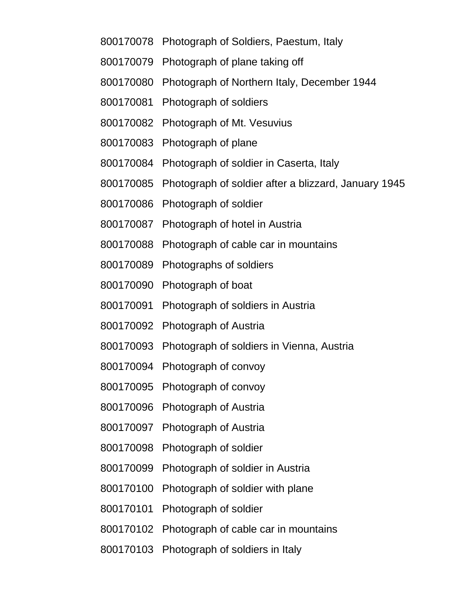- Photograph of Soldiers, Paestum, Italy
- Photograph of plane taking off
- Photograph of Northern Italy, December 1944
- Photograph of soldiers
- Photograph of Mt. Vesuvius
- Photograph of plane
- Photograph of soldier in Caserta, Italy
- Photograph of soldier after a blizzard, January 1945
- Photograph of soldier
- Photograph of hotel in Austria
- Photograph of cable car in mountains
- Photographs of soldiers
- Photograph of boat
- Photograph of soldiers in Austria
- Photograph of Austria
- Photograph of soldiers in Vienna, Austria
- Photograph of convoy
- Photograph of convoy
- Photograph of Austria
- Photograph of Austria
- Photograph of soldier
- Photograph of soldier in Austria
- Photograph of soldier with plane
- Photograph of soldier
- Photograph of cable car in mountains
- Photograph of soldiers in Italy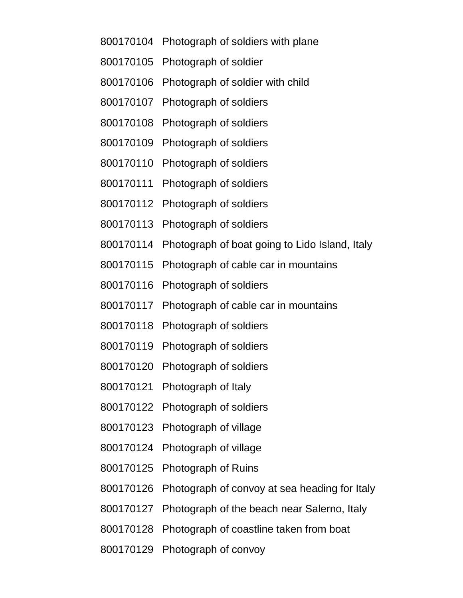- Photograph of soldiers with plane
- Photograph of soldier
- Photograph of soldier with child
- Photograph of soldiers
- Photograph of soldiers
- Photograph of soldiers
- Photograph of soldiers
- Photograph of soldiers
- Photograph of soldiers
- Photograph of soldiers
- Photograph of boat going to Lido Island, Italy
- Photograph of cable car in mountains
- Photograph of soldiers
- Photograph of cable car in mountains
- Photograph of soldiers
- Photograph of soldiers
- Photograph of soldiers
- Photograph of Italy
- Photograph of soldiers
- Photograph of village
- Photograph of village
- Photograph of Ruins
- Photograph of convoy at sea heading for Italy
- Photograph of the beach near Salerno, Italy
- Photograph of coastline taken from boat
- Photograph of convoy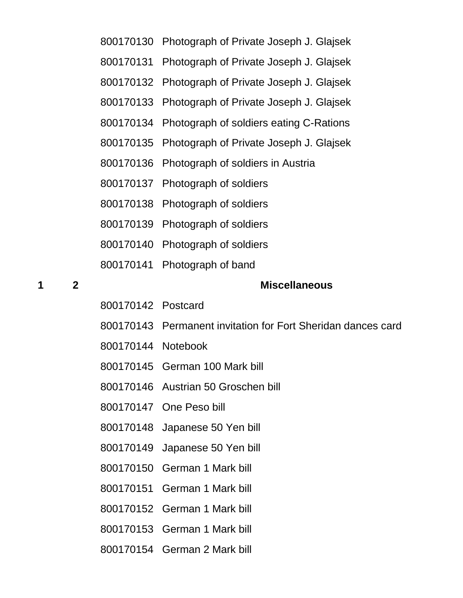| 800170130 Photograph of Private Joseph J. Glajsek |  |  |
|---------------------------------------------------|--|--|
|                                                   |  |  |

- Photograph of Private Joseph J. Glajsek
- Photograph of Private Joseph J. Glajsek
- Photograph of Private Joseph J. Glajsek
- Photograph of soldiers eating C-Rations
- Photograph of Private Joseph J. Glajsek
- Photograph of soldiers in Austria
- Photograph of soldiers
- Photograph of soldiers
- Photograph of soldiers
- Photograph of soldiers
- Photograph of band

#### **2 Miscellaneous**

- Postcard
- Permanent invitation for Fort Sheridan dances card
- Notebook
- German 100 Mark bill
- Austrian 50 Groschen bill
- One Peso bill
- Japanese 50 Yen bill
- Japanese 50 Yen bill
- German 1 Mark bill
- German 1 Mark bill
- German 1 Mark bill
- German 1 Mark bill
- German 2 Mark bill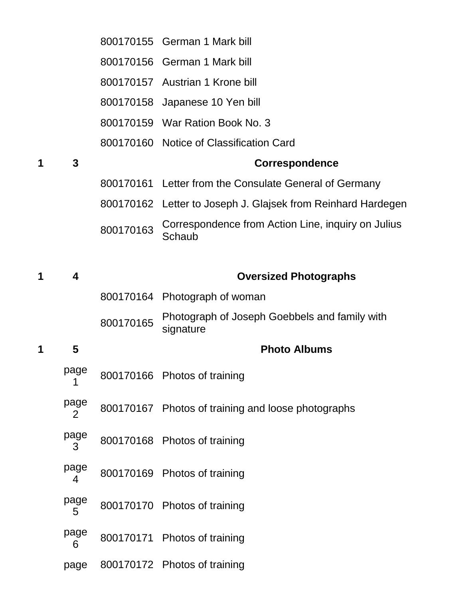|   |           |           | 800170155 German 1 Mark bill                                 |
|---|-----------|-----------|--------------------------------------------------------------|
|   |           |           | 800170156 German 1 Mark bill                                 |
|   |           |           | 800170157 Austrian 1 Krone bill                              |
|   |           |           | 800170158 Japanese 10 Yen bill                               |
|   |           |           | 800170159 War Ration Book No. 3                              |
|   |           |           | 800170160 Notice of Classification Card                      |
| 1 | 3         |           | <b>Correspondence</b>                                        |
|   |           |           | 800170161 Letter from the Consulate General of Germany       |
|   |           |           | 800170162 Letter to Joseph J. Glajsek from Reinhard Hardegen |
|   |           | 800170163 | Correspondence from Action Line, inquiry on Julius<br>Schaub |
| 1 | 4         |           | <b>Oversized Photographs</b>                                 |
|   |           |           | 800170164 Photograph of woman                                |
|   |           | 800170165 | Photograph of Joseph Goebbels and family with<br>signature   |
| 1 | 5         |           | <b>Photo Albums</b>                                          |
|   | page      |           | 800170166 Photos of training                                 |
|   | page<br>2 |           | 800170167 Photos of training and loose photographs           |
|   | page<br>3 |           | 800170168 Photos of training                                 |
|   | page<br>4 |           | 800170169 Photos of training                                 |
|   | page<br>5 |           | 800170170 Photos of training                                 |
|   | page<br>6 |           | 800170171 Photos of training                                 |
|   |           |           |                                                              |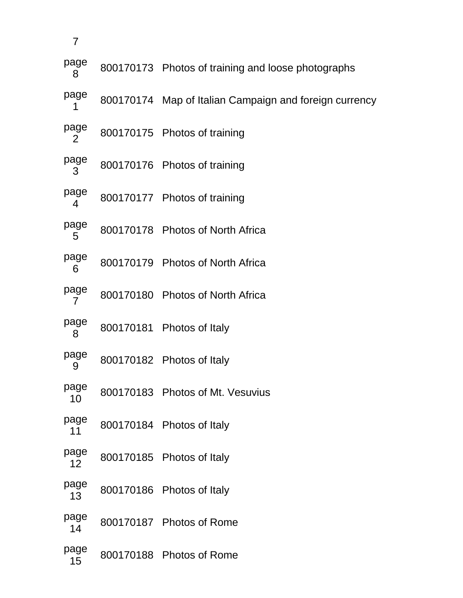| 7          |                                                        |
|------------|--------------------------------------------------------|
| page<br>8  | 800170173 Photos of training and loose photographs     |
| page<br>1  | 800170174 Map of Italian Campaign and foreign currency |
| page<br>2  | 800170175 Photos of training                           |
| page<br>3  | 800170176 Photos of training                           |
| page<br>4  | 800170177 Photos of training                           |
| page<br>5  | 800170178 Photos of North Africa                       |
| page<br>6  | 800170179 Photos of North Africa                       |
| page<br>7  | 800170180 Photos of North Africa                       |
| page<br>8  | 800170181 Photos of Italy                              |
| page<br>9  | 800170182 Photos of Italy                              |
| page<br>10 | 800170183 Photos of Mt. Vesuvius                       |
| page<br>11 | 800170184 Photos of Italy                              |
| page<br>12 | 800170185 Photos of Italy                              |
| page<br>13 | 800170186 Photos of Italy                              |
| page<br>14 | 800170187 Photos of Rome                               |
| page<br>15 | 800170188 Photos of Rome                               |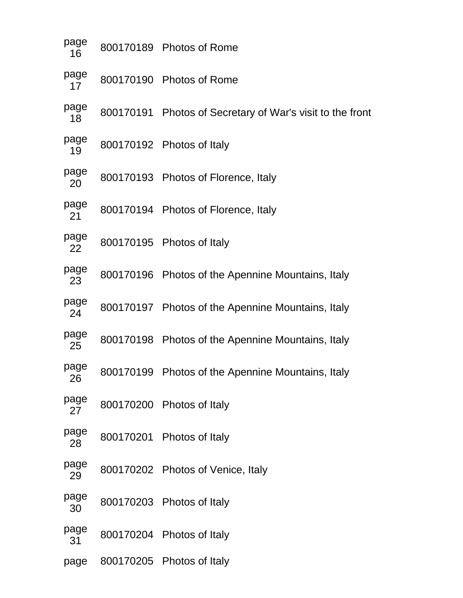| page<br>16 | 800170189 Photos of Rome                                  |
|------------|-----------------------------------------------------------|
| page<br>17 | 800170190 Photos of Rome                                  |
| page<br>18 | 800170191 Photos of Secretary of War's visit to the front |
| page<br>19 | 800170192 Photos of Italy                                 |
| page<br>20 | 800170193 Photos of Florence, Italy                       |
| page<br>21 | 800170194 Photos of Florence, Italy                       |
| page<br>22 | 800170195 Photos of Italy                                 |
| page<br>23 | 800170196 Photos of the Apennine Mountains, Italy         |
| page<br>24 | 800170197 Photos of the Apennine Mountains, Italy         |
| page<br>25 | 800170198 Photos of the Apennine Mountains, Italy         |
| page<br>26 | 800170199 Photos of the Apennine Mountains, Italy         |
| page<br>27 | 800170200 Photos of Italy                                 |
| page<br>28 | 800170201 Photos of Italy                                 |
| page<br>29 | 800170202 Photos of Venice, Italy                         |
| page<br>30 | 800170203 Photos of Italy                                 |
| page<br>31 | 800170204 Photos of Italy                                 |

page 800170205 Photos of Italy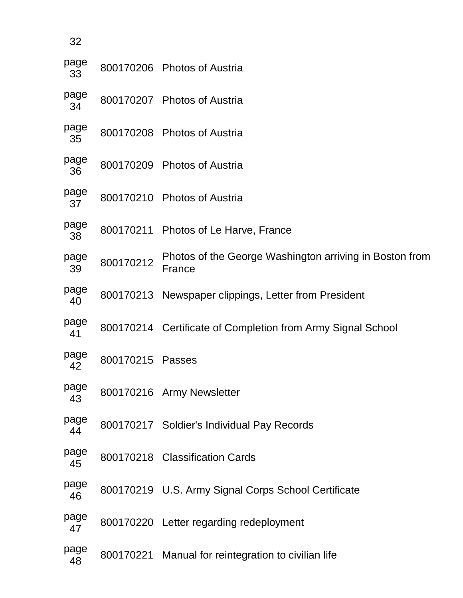| 32         |           |                                                                   |
|------------|-----------|-------------------------------------------------------------------|
| page<br>33 |           | 800170206 Photos of Austria                                       |
| page<br>34 |           | 800170207 Photos of Austria                                       |
| page<br>35 |           | 800170208 Photos of Austria                                       |
| page<br>36 |           | 800170209 Photos of Austria                                       |
| page<br>37 |           | 800170210 Photos of Austria                                       |
| page<br>38 |           | 800170211 Photos of Le Harve, France                              |
| page<br>39 | 800170212 | Photos of the George Washington arriving in Boston from<br>France |
| page<br>40 |           | 800170213 Newspaper clippings, Letter from President              |
| page<br>41 |           | 800170214 Certificate of Completion from Army Signal School       |
| page<br>42 | 800170215 | Passes                                                            |
| page<br>43 |           | 800170216 Army Newsletter                                         |
| page<br>44 |           | 800170217 Soldier's Individual Pay Records                        |
| page<br>45 |           | 800170218 Classification Cards                                    |
| page<br>46 |           | 800170219 U.S. Army Signal Corps School Certificate               |
| page<br>47 |           | 800170220 Letter regarding redeployment                           |
| page<br>48 |           | 800170221 Manual for reintegration to civilian life               |